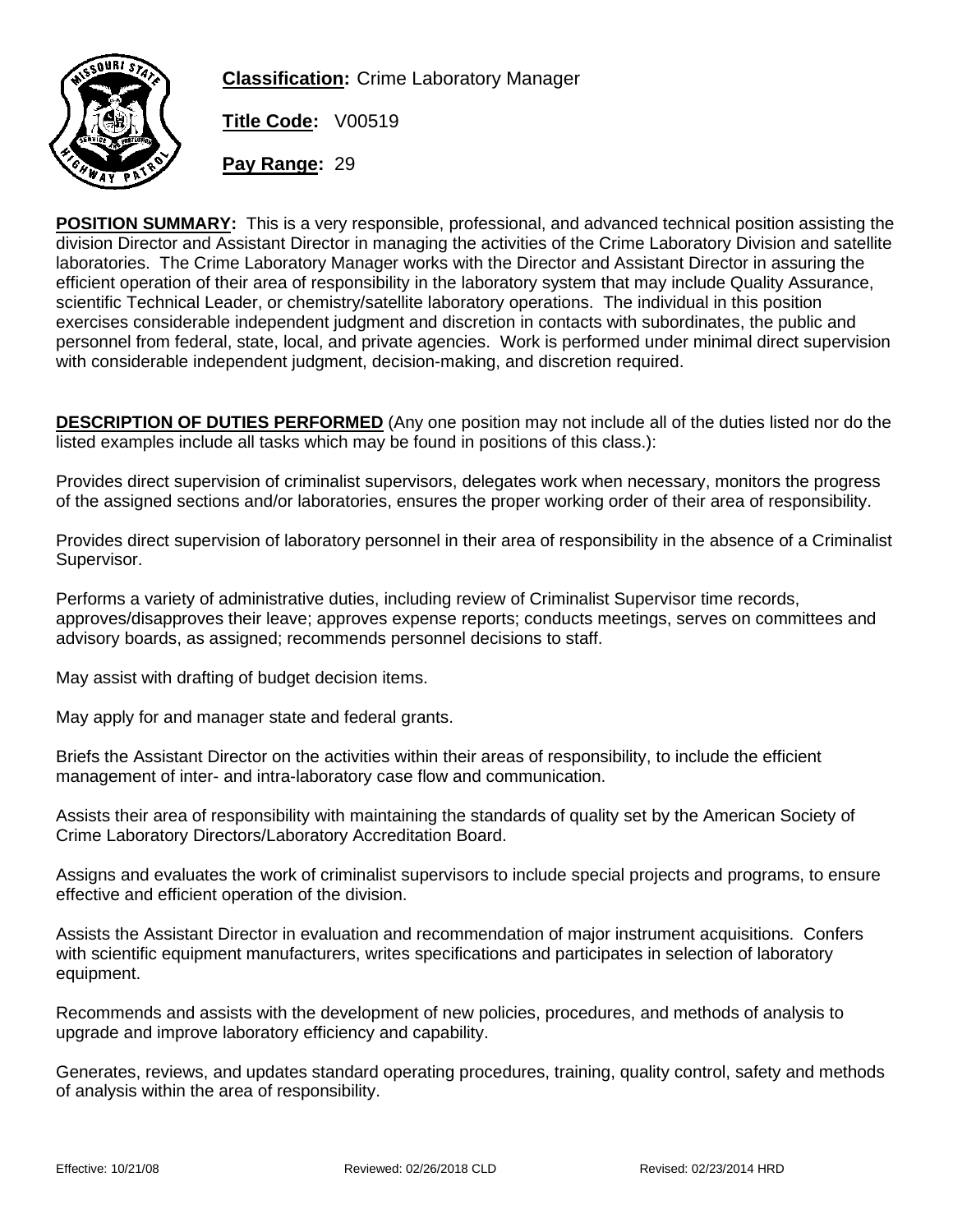

**Classification:** Crime Laboratory Manager

**Title Code:** V00519

**Pay Range:** 29

**POSITION SUMMARY:** This is a very responsible, professional, and advanced technical position assisting the division Director and Assistant Director in managing the activities of the Crime Laboratory Division and satellite laboratories. The Crime Laboratory Manager works with the Director and Assistant Director in assuring the efficient operation of their area of responsibility in the laboratory system that may include Quality Assurance, scientific Technical Leader, or chemistry/satellite laboratory operations. The individual in this position exercises considerable independent judgment and discretion in contacts with subordinates, the public and personnel from federal, state, local, and private agencies. Work is performed under minimal direct supervision with considerable independent judgment, decision-making, and discretion required.

**DESCRIPTION OF DUTIES PERFORMED** (Any one position may not include all of the duties listed nor do the listed examples include all tasks which may be found in positions of this class.):

Provides direct supervision of criminalist supervisors, delegates work when necessary, monitors the progress of the assigned sections and/or laboratories, ensures the proper working order of their area of responsibility.

Provides direct supervision of laboratory personnel in their area of responsibility in the absence of a Criminalist Supervisor.

Performs a variety of administrative duties, including review of Criminalist Supervisor time records, approves/disapproves their leave; approves expense reports; conducts meetings, serves on committees and advisory boards, as assigned; recommends personnel decisions to staff.

May assist with drafting of budget decision items.

May apply for and manager state and federal grants.

Briefs the Assistant Director on the activities within their areas of responsibility, to include the efficient management of inter- and intra-laboratory case flow and communication.

Assists their area of responsibility with maintaining the standards of quality set by the American Society of Crime Laboratory Directors/Laboratory Accreditation Board.

Assigns and evaluates the work of criminalist supervisors to include special projects and programs, to ensure effective and efficient operation of the division.

Assists the Assistant Director in evaluation and recommendation of major instrument acquisitions. Confers with scientific equipment manufacturers, writes specifications and participates in selection of laboratory equipment.

Recommends and assists with the development of new policies, procedures, and methods of analysis to upgrade and improve laboratory efficiency and capability.

Generates, reviews, and updates standard operating procedures, training, quality control, safety and methods of analysis within the area of responsibility.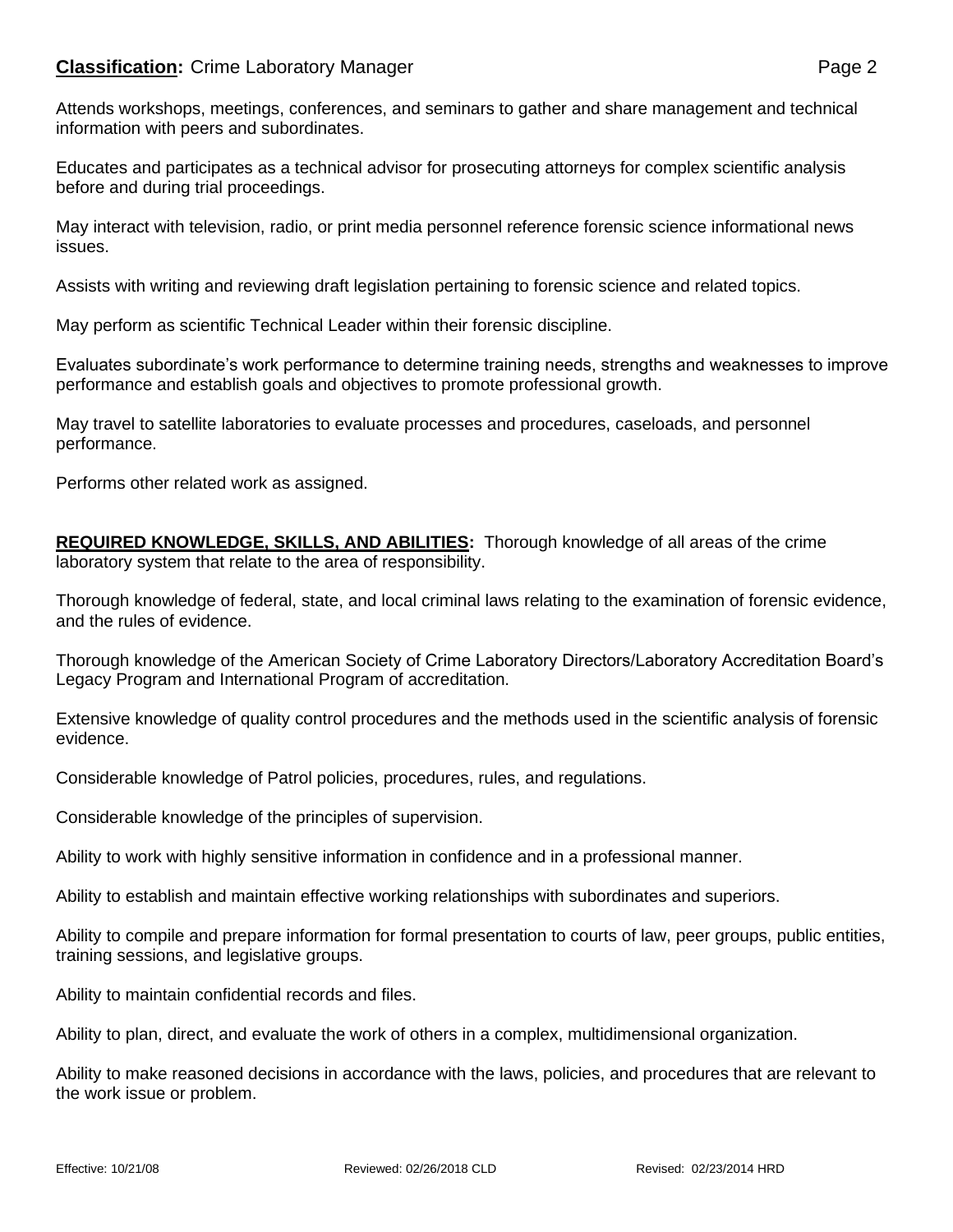## **Classification:** Crime Laboratory Manager **Page 2** Page 2

Attends workshops, meetings, conferences, and seminars to gather and share management and technical information with peers and subordinates.

Educates and participates as a technical advisor for prosecuting attorneys for complex scientific analysis before and during trial proceedings.

May interact with television, radio, or print media personnel reference forensic science informational news issues.

Assists with writing and reviewing draft legislation pertaining to forensic science and related topics.

May perform as scientific Technical Leader within their forensic discipline.

Evaluates subordinate's work performance to determine training needs, strengths and weaknesses to improve performance and establish goals and objectives to promote professional growth.

May travel to satellite laboratories to evaluate processes and procedures, caseloads, and personnel performance.

Performs other related work as assigned.

**REQUIRED KNOWLEDGE, SKILLS, AND ABILITIES:** Thorough knowledge of all areas of the crime laboratory system that relate to the area of responsibility.

Thorough knowledge of federal, state, and local criminal laws relating to the examination of forensic evidence, and the rules of evidence.

Thorough knowledge of the American Society of Crime Laboratory Directors/Laboratory Accreditation Board's Legacy Program and International Program of accreditation.

Extensive knowledge of quality control procedures and the methods used in the scientific analysis of forensic evidence.

Considerable knowledge of Patrol policies, procedures, rules, and regulations.

Considerable knowledge of the principles of supervision.

Ability to work with highly sensitive information in confidence and in a professional manner.

Ability to establish and maintain effective working relationships with subordinates and superiors.

Ability to compile and prepare information for formal presentation to courts of law, peer groups, public entities, training sessions, and legislative groups.

Ability to maintain confidential records and files.

Ability to plan, direct, and evaluate the work of others in a complex, multidimensional organization.

Ability to make reasoned decisions in accordance with the laws, policies, and procedures that are relevant to the work issue or problem.